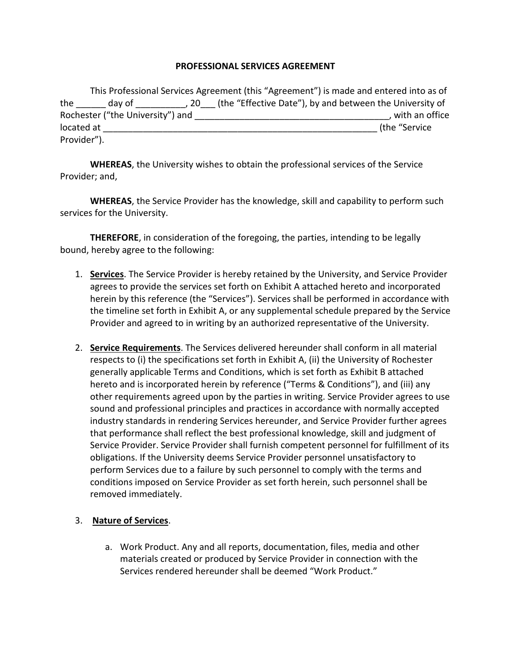## **PROFESSIONAL SERVICES AGREEMENT**

|                                  |        |  | This Professional Services Agreement (this "Agreement") is made and entered into as of |
|----------------------------------|--------|--|----------------------------------------------------------------------------------------|
| the                              | day of |  | 20 (the "Effective Date"), by and between the University of                            |
| Rochester ("the University") and |        |  | , with an office                                                                       |
| located at                       |        |  | (the "Service                                                                          |
| Provider").                      |        |  |                                                                                        |

**WHEREAS**, the University wishes to obtain the professional services of the Service Provider; and,

**WHEREAS**, the Service Provider has the knowledge, skill and capability to perform such services for the University.

**THEREFORE**, in consideration of the foregoing, the parties, intending to be legally bound, hereby agree to the following:

- 1. **Services**. The Service Provider is hereby retained by the University, and Service Provider agrees to provide the services set forth on Exhibit A attached hereto and incorporated herein by this reference (the "Services"). Services shall be performed in accordance with the timeline set forth in Exhibit A, or any supplemental schedule prepared by the Service Provider and agreed to in writing by an authorized representative of the University.
- 2. **Service Requirements**. The Services delivered hereunder shall conform in all material respects to (i) the specifications set forth in Exhibit A, (ii) the University of Rochester generally applicable Terms and Conditions, which is set forth as Exhibit B attached hereto and is incorporated herein by reference ("Terms & Conditions"), and (iii) any other requirements agreed upon by the parties in writing. Service Provider agrees to use sound and professional principles and practices in accordance with normally accepted industry standards in rendering Services hereunder, and Service Provider further agrees that performance shall reflect the best professional knowledge, skill and judgment of Service Provider. Service Provider shall furnish competent personnel for fulfillment of its obligations. If the University deems Service Provider personnel unsatisfactory to perform Services due to a failure by such personnel to comply with the terms and conditions imposed on Service Provider as set forth herein, such personnel shall be removed immediately.

## 3. **Nature of Services**.

a. Work Product. Any and all reports, documentation, files, media and other materials created or produced by Service Provider in connection with the Services rendered hereunder shall be deemed "Work Product."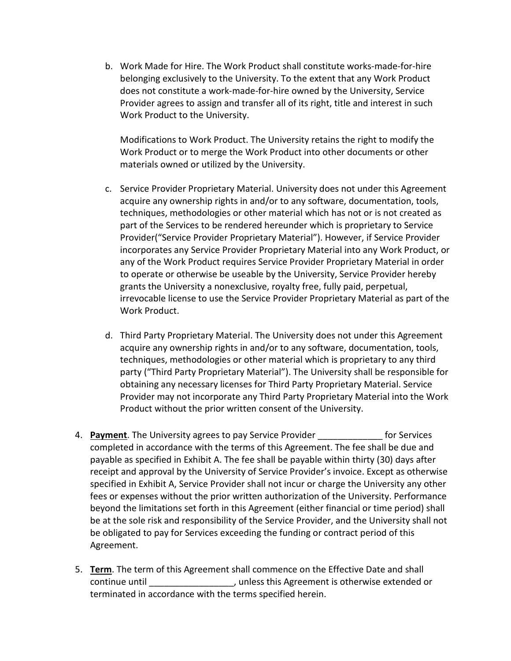b. Work Made for Hire. The Work Product shall constitute works-made-for-hire belonging exclusively to the University. To the extent that any Work Product does not constitute a work-made-for-hire owned by the University, Service Provider agrees to assign and transfer all of its right, title and interest in such Work Product to the University.

Modifications to Work Product. The University retains the right to modify the Work Product or to merge the Work Product into other documents or other materials owned or utilized by the University.

- c. Service Provider Proprietary Material. University does not under this Agreement acquire any ownership rights in and/or to any software, documentation, tools, techniques, methodologies or other material which has not or is not created as part of the Services to be rendered hereunder which is proprietary to Service Provider("Service Provider Proprietary Material"). However, if Service Provider incorporates any Service Provider Proprietary Material into any Work Product, or any of the Work Product requires Service Provider Proprietary Material in order to operate or otherwise be useable by the University, Service Provider hereby grants the University a nonexclusive, royalty free, fully paid, perpetual, irrevocable license to use the Service Provider Proprietary Material as part of the Work Product.
- d. Third Party Proprietary Material. The University does not under this Agreement acquire any ownership rights in and/or to any software, documentation, tools, techniques, methodologies or other material which is proprietary to any third party ("Third Party Proprietary Material"). The University shall be responsible for obtaining any necessary licenses for Third Party Proprietary Material. Service Provider may not incorporate any Third Party Proprietary Material into the Work Product without the prior written consent of the University.
- 4. **Payment**. The University agrees to pay Service Provider **Example 20 Forman Forman** for Services completed in accordance with the terms of this Agreement. The fee shall be due and payable as specified in Exhibit A. The fee shall be payable within thirty (30) days after receipt and approval by the University of Service Provider's invoice. Except as otherwise specified in Exhibit A, Service Provider shall not incur or charge the University any other fees or expenses without the prior written authorization of the University. Performance beyond the limitations set forth in this Agreement (either financial or time period) shall be at the sole risk and responsibility of the Service Provider, and the University shall not be obligated to pay for Services exceeding the funding or contract period of this Agreement.
- 5. **Term**. The term of this Agreement shall commence on the Effective Date and shall continue until \_\_\_\_\_\_\_\_\_\_\_\_\_\_\_\_\_, unless this Agreement is otherwise extended or terminated in accordance with the terms specified herein.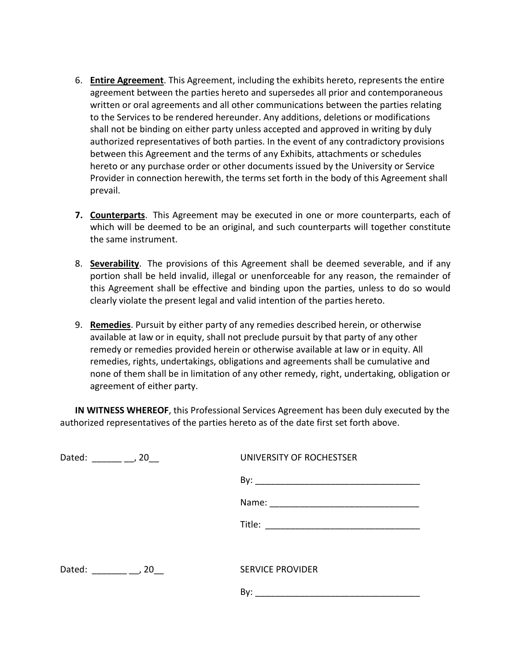- 6. **Entire Agreement**. This Agreement, including the exhibits hereto, represents the entire agreement between the parties hereto and supersedes all prior and contemporaneous written or oral agreements and all other communications between the parties relating to the Services to be rendered hereunder. Any additions, deletions or modifications shall not be binding on either party unless accepted and approved in writing by duly authorized representatives of both parties. In the event of any contradictory provisions between this Agreement and the terms of any Exhibits, attachments or schedules hereto or any purchase order or other documents issued by the University or Service Provider in connection herewith, the terms set forth in the body of this Agreement shall prevail.
- **7. Counterparts**. This Agreement may be executed in one or more counterparts, each of which will be deemed to be an original, and such counterparts will together constitute the same instrument.
- 8. **Severability**. The provisions of this Agreement shall be deemed severable, and if any portion shall be held invalid, illegal or unenforceable for any reason, the remainder of this Agreement shall be effective and binding upon the parties, unless to do so would clearly violate the present legal and valid intention of the parties hereto.
- 9. **Remedies**. Pursuit by either party of any remedies described herein, or otherwise available at law or in equity, shall not preclude pursuit by that party of any other remedy or remedies provided herein or otherwise available at law or in equity. All remedies, rights, undertakings, obligations and agreements shall be cumulative and none of them shall be in limitation of any other remedy, right, undertaking, obligation or agreement of either party.

**IN WITNESS WHEREOF**, this Professional Services Agreement has been duly executed by the authorized representatives of the parties hereto as of the date first set forth above.

## Dated: \_\_\_\_\_\_ \_\_, 20\_\_ UNIVERSITY OF ROCHESTSER

By: \_\_\_\_\_\_\_\_\_\_\_\_\_\_\_\_\_\_\_\_\_\_\_\_\_\_\_\_\_\_\_\_\_

Name: \_\_\_\_\_\_\_\_\_\_\_\_\_\_\_\_\_\_\_\_\_\_\_\_\_\_\_\_\_\_

 $\blacksquare$  Title:  $\blacksquare$ 

Dated: The particle of the particle of the SERVICE PROVIDER

By: \_\_\_\_\_\_\_\_\_\_\_\_\_\_\_\_\_\_\_\_\_\_\_\_\_\_\_\_\_\_\_\_\_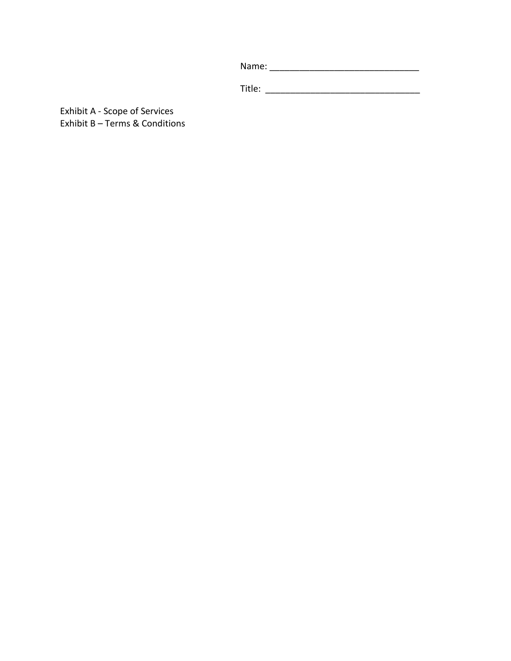Name: \_\_\_\_\_\_\_\_\_\_\_\_\_\_\_\_\_\_\_\_\_\_\_\_\_\_\_\_\_\_

Title: \_\_\_\_\_\_\_\_\_\_\_\_\_\_\_\_\_\_\_\_\_\_\_\_\_\_\_\_\_\_\_

Exhibit A - Scope of Services Exhibit B – Terms & Conditions